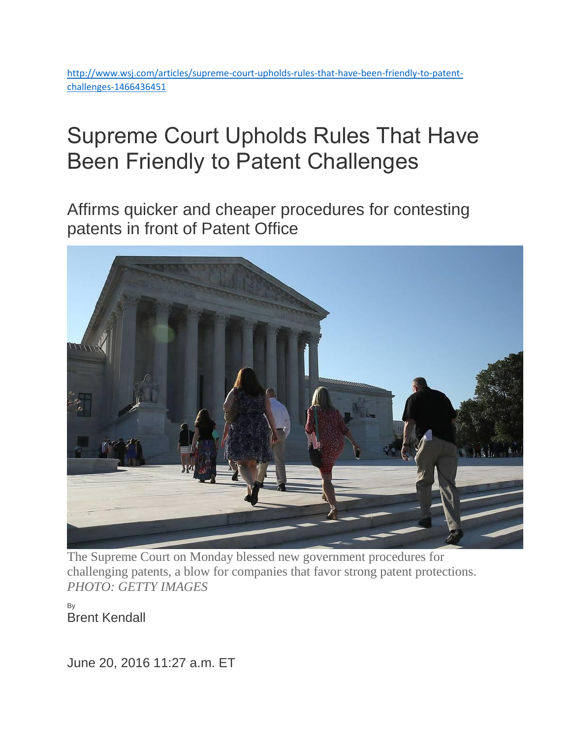[http://www.wsj.com/articles/supreme-court-upholds-rules-that-have-been-friendly-to-patent](http://www.wsj.com/articles/supreme-court-upholds-rules-that-have-been-friendly-to-patent-challenges-1466436451)[challenges-1466436451](http://www.wsj.com/articles/supreme-court-upholds-rules-that-have-been-friendly-to-patent-challenges-1466436451)

## Supreme Court Upholds Rules That Have Been Friendly to Patent Challenges

Affirms quicker and cheaper procedures for contesting patents in front of Patent Office



The Supreme Court on Monday blessed new government procedures for challenging patents, a blow for companies that favor strong patent protections. *PHOTO: GETTY IMAGES* 

By Brent Kendall

June 20, 2016 11:27 a.m. ET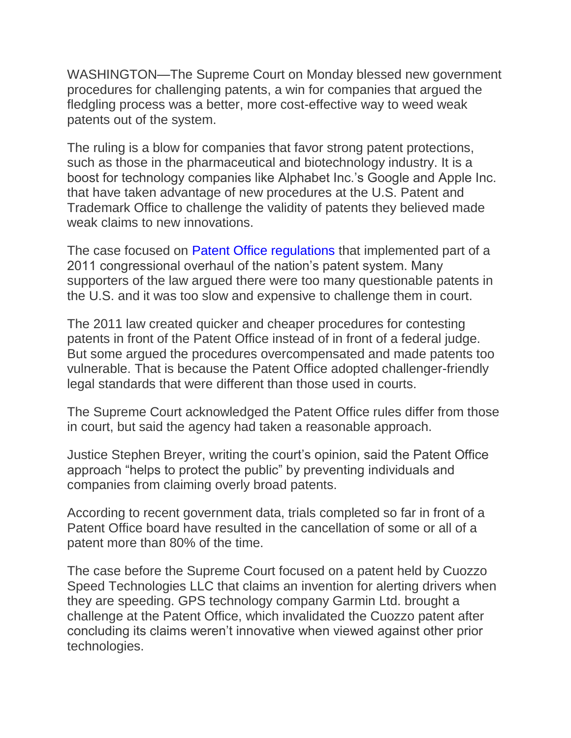WASHINGTON—The Supreme Court on Monday blessed new government procedures for challenging patents, a win for companies that argued the fledgling process was a better, more cost-effective way to weed weak patents out of the system.

The ruling is a blow for companies that favor strong patent protections, such as those in the pharmaceutical and biotechnology industry. It is a boost for technology companies like Alphabet Inc.'s Google and Apple Inc. that have taken advantage of new procedures at the U.S. Patent and Trademark Office to challenge the validity of patents they believed made weak claims to new innovations.

The case focused on [Patent Office regulations](http://www.wsj.com/articles/supreme-court-grapples-with-rules-on-patent-challenges-1461617726) that implemented part of a 2011 congressional overhaul of the nation's patent system. Many supporters of the law argued there were too many questionable patents in the U.S. and it was too slow and expensive to challenge them in court.

The 2011 law created quicker and cheaper procedures for contesting patents in front of the Patent Office instead of in front of a federal judge. But some argued the procedures overcompensated and made patents too vulnerable. That is because the Patent Office adopted challenger-friendly legal standards that were different than those used in courts.

The Supreme Court acknowledged the Patent Office rules differ from those in court, but said the agency had taken a reasonable approach.

Justice Stephen Breyer, writing the court's opinion, said the Patent Office approach "helps to protect the public" by preventing individuals and companies from claiming overly broad patents.

According to recent government data, trials completed so far in front of a Patent Office board have resulted in the cancellation of some or all of a patent more than 80% of the time.

The case before the Supreme Court focused on a patent held by Cuozzo Speed Technologies LLC that claims an invention for alerting drivers when they are speeding. GPS technology company Garmin Ltd. brought a challenge at the Patent Office, which invalidated the Cuozzo patent after concluding its claims weren't innovative when viewed against other prior technologies.